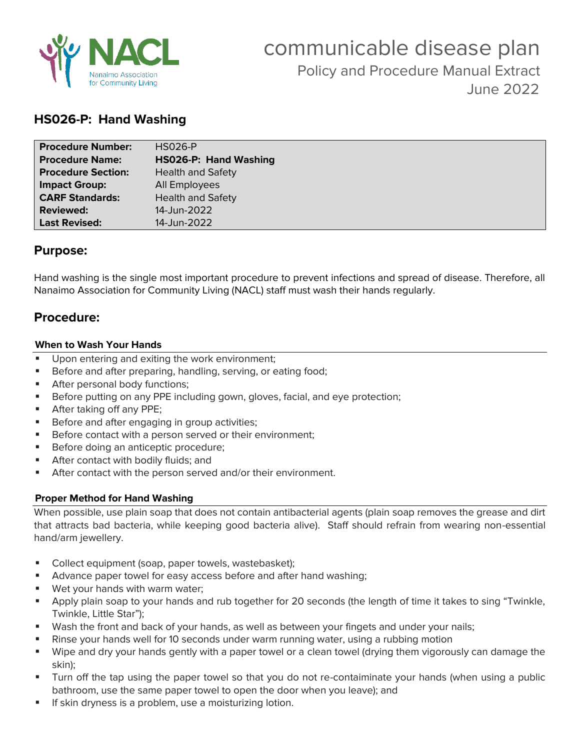

# **HS026-P: Hand Washing**

| <b>Procedure Number:</b>  | <b>HS026-P</b>           |
|---------------------------|--------------------------|
| <b>Procedure Name:</b>    | HS026-P: Hand Washing    |
| <b>Procedure Section:</b> | <b>Health and Safety</b> |
| <b>Impact Group:</b>      | All Employees            |
| <b>CARF Standards:</b>    | <b>Health and Safety</b> |
| <b>Reviewed:</b>          | 14-Jun-2022              |
| <b>Last Revised:</b>      | 14-Jun-2022              |

## **Purpose:**

Hand washing is the single most important procedure to prevent infections and spread of disease. Therefore, all Nanaimo Association for Community Living (NACL) staff must wash their hands regularly.

# **Procedure:**

## **When to Wash Your Hands**

- Upon entering and exiting the work environment;
- Before and after preparing, handling, serving, or eating food;
- **EXECUTE:** After personal body functions;
- **EXEL Before putting on any PPE including gown, gloves, facial, and eye protection;**
- After taking off any PPE;
- Before and after engaging in group activities;
- Before contact with a person served or their environment;
- Before doing an anticeptic procedure;
- After contact with bodily fluids; and
- After contact with the person served and/or their environment.

## **Proper Method for Hand Washing**

When possible, use plain soap that does not contain antibacterial agents (plain soap removes the grease and dirt that attracts bad bacteria, while keeping good bacteria alive). Staff should refrain from wearing non-essential hand/arm jewellery.

- Collect equipment (soap, paper towels, wastebasket);
- Advance paper towel for easy access before and after hand washing;
- Wet your hands with warm water;
- Apply plain soap to your hands and rub together for 20 seconds (the length of time it takes to sing "Twinkle, Twinkle, Little Star");
- **■** Wash the front and back of your hands, as well as between your fingets and under your nails;
- Rinse your hands well for 10 seconds under warm running water, using a rubbing motion
- Wipe and dry your hands gently with a paper towel or a clean towel (drying them vigorously can damage the skin);
- Turn off the tap using the paper towel so that you do not re-contaiminate your hands (when using a public bathroom, use the same paper towel to open the door when you leave); and
- **·** If skin dryness is a problem, use a moisturizing lotion.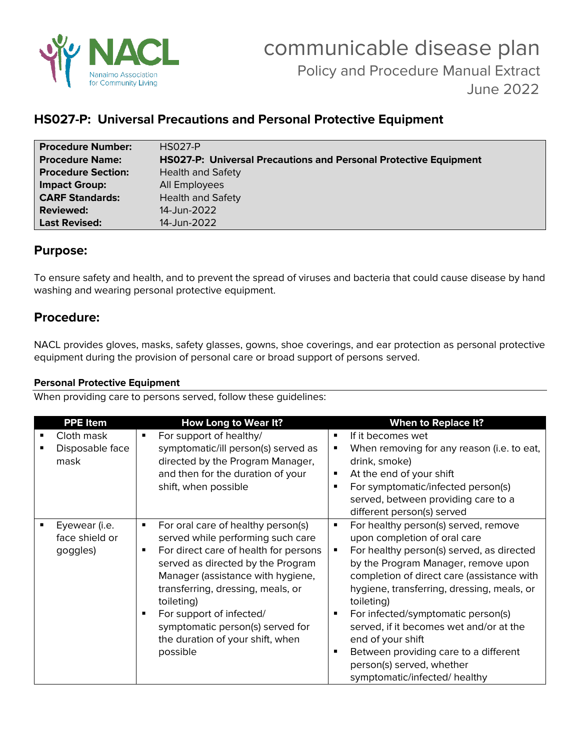

# **HS027-P: Universal Precautions and Personal Protective Equipment**

| <b>Procedure Number:</b>  | <b>HS027-P</b>                                                          |
|---------------------------|-------------------------------------------------------------------------|
| <b>Procedure Name:</b>    | <b>HS027-P: Universal Precautions and Personal Protective Equipment</b> |
| <b>Procedure Section:</b> | <b>Health and Safety</b>                                                |
| <b>Impact Group:</b>      | All Employees                                                           |
| <b>CARF Standards:</b>    | <b>Health and Safety</b>                                                |
| <b>Reviewed:</b>          | 14-Jun-2022                                                             |
| <b>Last Revised:</b>      | 14-Jun-2022                                                             |

# **Purpose:**

To ensure safety and health, and to prevent the spread of viruses and bacteria that could cause disease by hand washing and wearing personal protective equipment.

# **Procedure:**

NACL provides gloves, masks, safety glasses, gowns, shoe coverings, and ear protection as personal protective equipment during the provision of personal care or broad support of persons served.

## **Personal Protective Equipment**

When providing care to persons served, follow these guidelines:

| <b>PPE Item</b> |   | <b>How Long to Wear It?</b>           |   | <b>When to Replace It?</b>                 |
|-----------------|---|---------------------------------------|---|--------------------------------------------|
| Cloth mask      | ٠ | For support of healthy/               | ٠ | If it becomes wet                          |
| Disposable face |   | symptomatic/ill person(s) served as   | п | When removing for any reason (i.e. to eat, |
| mask            |   | directed by the Program Manager,      |   | drink, smoke)                              |
|                 |   | and then for the duration of your     | ٠ | At the end of your shift                   |
|                 |   | shift, when possible                  | ٠ | For symptomatic/infected person(s)         |
|                 |   |                                       |   | served, between providing care to a        |
|                 |   |                                       |   | different person(s) served                 |
| Eyewear (i.e.   | ٠ | For oral care of healthy person(s)    | ٠ | For healthy person(s) served, remove       |
| face shield or  |   | served while performing such care     |   | upon completion of oral care               |
| goggles)        | ٠ | For direct care of health for persons | ٠ | For healthy person(s) served, as directed  |
|                 |   | served as directed by the Program     |   | by the Program Manager, remove upon        |
|                 |   | Manager (assistance with hygiene,     |   | completion of direct care (assistance with |
|                 |   | transferring, dressing, meals, or     |   | hygiene, transferring, dressing, meals, or |
|                 |   | toileting)                            |   | toileting)                                 |
|                 |   | For support of infected/              |   | For infected/symptomatic person(s)         |
|                 |   |                                       |   |                                            |
|                 |   | symptomatic person(s) served for      |   | served, if it becomes wet and/or at the    |
|                 |   | the duration of your shift, when      |   | end of your shift                          |
|                 |   | possible                              | п | Between providing care to a different      |
|                 |   |                                       |   | person(s) served, whether                  |
|                 |   |                                       |   | symptomatic/infected/ healthy              |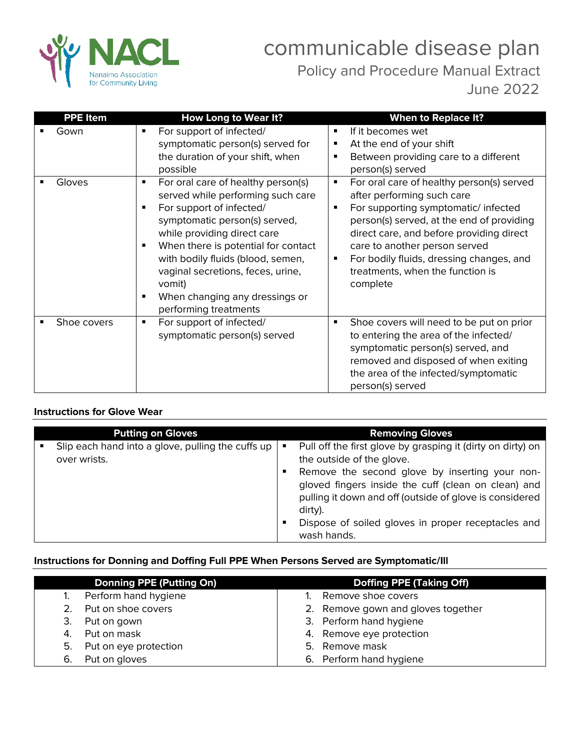

| <b>PPE Item</b> | How Long to Wear It?                                                                                                                                                                                                                                                                                                                                                | <b>When to Replace It?</b>                                                                                                                                                                                                                                                                                                                                       |
|-----------------|---------------------------------------------------------------------------------------------------------------------------------------------------------------------------------------------------------------------------------------------------------------------------------------------------------------------------------------------------------------------|------------------------------------------------------------------------------------------------------------------------------------------------------------------------------------------------------------------------------------------------------------------------------------------------------------------------------------------------------------------|
| Gown            | For support of infected/<br>٠<br>symptomatic person(s) served for<br>the duration of your shift, when<br>possible                                                                                                                                                                                                                                                   | If it becomes wet<br>٠<br>At the end of your shift<br>٠<br>Between providing care to a different<br>٠<br>person(s) served                                                                                                                                                                                                                                        |
| Gloves          | For oral care of healthy person(s)<br>٠<br>served while performing such care<br>For support of infected/<br>symptomatic person(s) served,<br>while providing direct care<br>When there is potential for contact<br>٠<br>with bodily fluids (blood, semen,<br>vaginal secretions, feces, urine,<br>vomit)<br>When changing any dressings or<br>performing treatments | For oral care of healthy person(s) served<br>$\blacksquare$<br>after performing such care<br>For supporting symptomatic/infected<br>٠<br>person(s) served, at the end of providing<br>direct care, and before providing direct<br>care to another person served<br>For bodily fluids, dressing changes, and<br>٠<br>treatments, when the function is<br>complete |
| Shoe covers     | For support of infected/<br>٠<br>symptomatic person(s) served                                                                                                                                                                                                                                                                                                       | Shoe covers will need to be put on prior<br>٠<br>to entering the area of the infected/<br>symptomatic person(s) served, and<br>removed and disposed of when exiting<br>the area of the infected/symptomatic<br>person(s) served                                                                                                                                  |

## **Instructions for Glove Wear**

Г

| <b>Putting on Gloves</b>                                          | <b>Removing Gloves</b>                                                                                                                                                                                                                                                                                                                                      |
|-------------------------------------------------------------------|-------------------------------------------------------------------------------------------------------------------------------------------------------------------------------------------------------------------------------------------------------------------------------------------------------------------------------------------------------------|
| Slip each hand into a glove, pulling the cuffs up<br>over wrists. | Pull off the first glove by grasping it (dirty on dirty) on<br>п<br>the outside of the glove.<br>Remove the second glove by inserting your non-<br>п<br>gloved fingers inside the cuff (clean on clean) and<br>pulling it down and off (outside of glove is considered<br>dirty).<br>Dispose of soiled gloves in proper receptacles and<br>п<br>wash hands. |

## **Instructions for Donning and Doffing Full PPE When Persons Served are Symptomatic/Ill**

|    | <b>Donning PPE (Putting On)</b> | <b>Doffing PPE (Taking Off)</b>    |
|----|---------------------------------|------------------------------------|
|    | Perform hand hygiene            | Remove shoe covers                 |
|    | Put on shoe covers              | 2. Remove gown and gloves together |
| 3. | Put on gown                     | 3. Perform hand hygiene            |
| 4. | Put on mask                     | 4. Remove eye protection           |
| 5. | Put on eye protection           | 5. Remove mask                     |
| 6. | Put on gloves                   | 6. Perform hand hygiene            |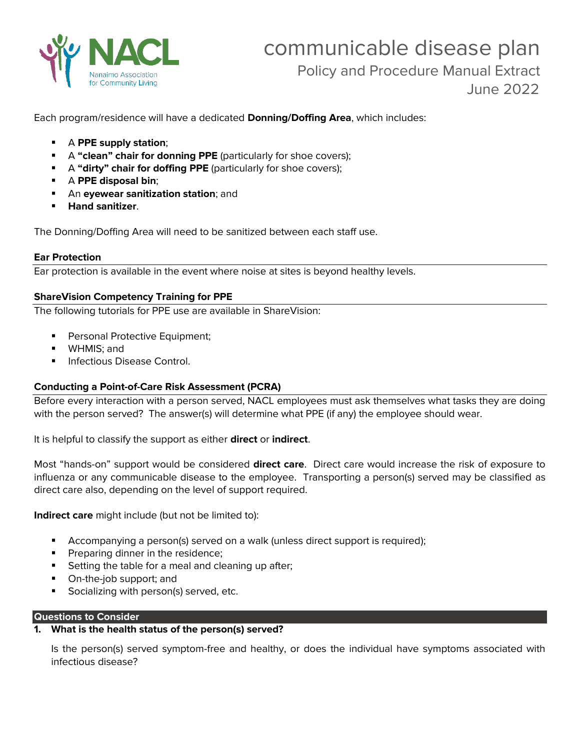

Each program/residence will have a dedicated **Donning/Doffing Area**, which includes:

- A **PPE supply station**;
- **E** A "clean" chair for donning PPE (particularly for shoe covers);
- **E** A "dirty" chair for doffing PPE (particularly for shoe covers);
- A **PPE disposal bin**;
- An **eyewear sanitization station**; and
- **Hand sanitizer**.

The Donning/Doffing Area will need to be sanitized between each staff use.

#### **Ear Protection**

Ear protection is available in the event where noise at sites is beyond healthy levels.

### **ShareVision Competency Training for PPE**

The following tutorials for PPE use are available in ShareVision:

- Personal Protective Equipment;
- WHMIS; and
- Infectious Disease Control.

### **Conducting a Point-of-Care Risk Assessment (PCRA)**

Before every interaction with a person served, NACL employees must ask themselves what tasks they are doing with the person served? The answer(s) will determine what PPE (if any) the employee should wear.

It is helpful to classify the support as either **direct** or **indirect**.

Most "hands-on" support would be considered **direct care**. Direct care would increase the risk of exposure to influenza or any communicable disease to the employee. Transporting a person(s) served may be classified as direct care also, depending on the level of support required.

**Indirect care** might include (but not be limited to):

- Accompanying a person(s) served on a walk (unless direct support is required);
- **•** Preparing dinner in the residence;
- Setting the table for a meal and cleaning up after;
- On-the-job support; and
- Socializing with person(s) served, etc.

#### **Questions to Consider**

## **1. What is the health status of the person(s) served?**

Is the person(s) served symptom-free and healthy, or does the individual have symptoms associated with infectious disease?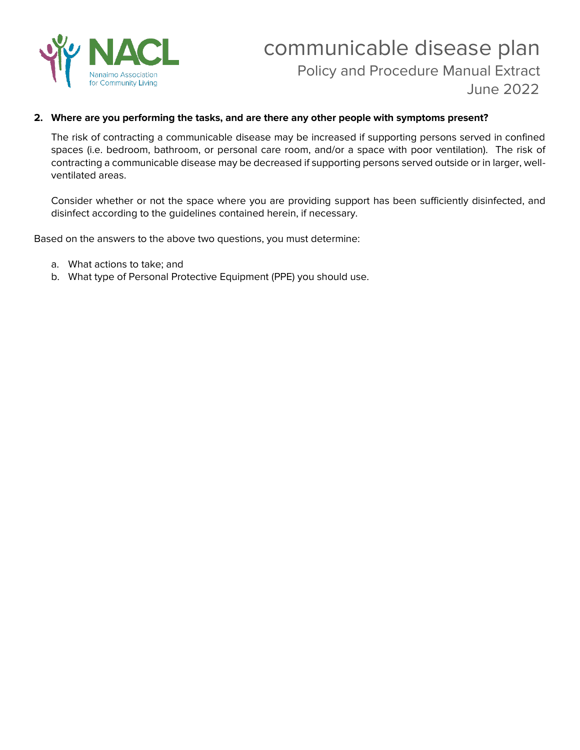

## **2. Where are you performing the tasks, and are there any other people with symptoms present?**

The risk of contracting a communicable disease may be increased if supporting persons served in confined spaces (i.e. bedroom, bathroom, or personal care room, and/or a space with poor ventilation). The risk of contracting a communicable disease may be decreased if supporting persons served outside or in larger, wellventilated areas.

Consider whether or not the space where you are providing support has been sufficiently disinfected, and disinfect according to the guidelines contained herein, if necessary.

Based on the answers to the above two questions, you must determine:

- a. What actions to take; and
- b. What type of Personal Protective Equipment (PPE) you should use.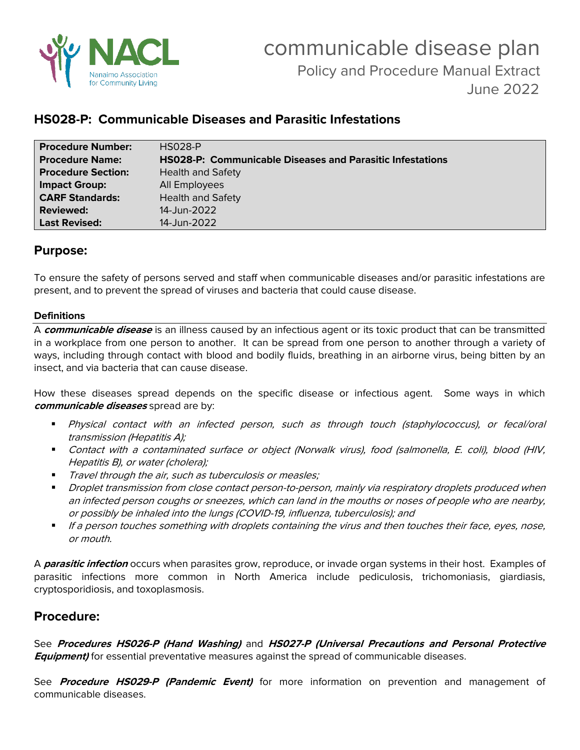

# **HS028-P: Communicable Diseases and Parasitic Infestations**

| <b>Procedure Number:</b>  | <b>HS028-P</b>                                                   |
|---------------------------|------------------------------------------------------------------|
| <b>Procedure Name:</b>    | <b>HS028-P: Communicable Diseases and Parasitic Infestations</b> |
| <b>Procedure Section:</b> | <b>Health and Safety</b>                                         |
| <b>Impact Group:</b>      | All Employees                                                    |
| <b>CARF Standards:</b>    | <b>Health and Safety</b>                                         |
| <b>Reviewed:</b>          | 14-Jun-2022                                                      |
| <b>Last Revised:</b>      | 14-Jun-2022                                                      |

# **Purpose:**

To ensure the safety of persons served and staff when communicable diseases and/or parasitic infestations are present, and to prevent the spread of viruses and bacteria that could cause disease.

## **Definitions**

A **communicable disease** is an illness caused by an infectious agent or its toxic product that can be transmitted in a workplace from one person to another. It can be spread from one person to another through a variety of ways, including through contact with blood and bodily fluids, breathing in an airborne virus, being bitten by an insect, and via bacteria that can cause disease.

How these diseases spread depends on the specific disease or infectious agent. Some ways in which **communicable diseases** spread are by:

- Physical contact with an infected person, such as through touch (staphylococcus), or fecal/oral transmission (Hepatitis A);
- Contact with a contaminated surface or object (Norwalk virus), food (salmonella, E. coli), blood (HIV, Hepatitis B), or water (cholera);
- **Travel through the air, such as tuberculosis or measles;**
- Droplet transmission from close contact person-to-person, mainly via respiratory droplets produced when an infected person coughs or sneezes, which can land in the mouths or noses of people who are nearby, or possibly be inhaled into the lungs (COVID-19, influenza, tuberculosis); and
- If a person touches something with droplets containing the virus and then touches their face, eyes, nose, or mouth.

A **parasitic infection** occurs when parasites grow, reproduce, or invade organ systems in their host. Examples of parasitic infections more common in North America include pediculosis, trichomoniasis, giardiasis, cryptosporidiosis, and toxoplasmosis.

# **Procedure:**

See **Procedures HS026-P (Hand Washing)** and **HS027-P (Universal Precautions and Personal Protective Equipment)** for essential preventative measures against the spread of communicable diseases.

See **Procedure HS029-P (Pandemic Event)** for more information on prevention and management of communicable diseases.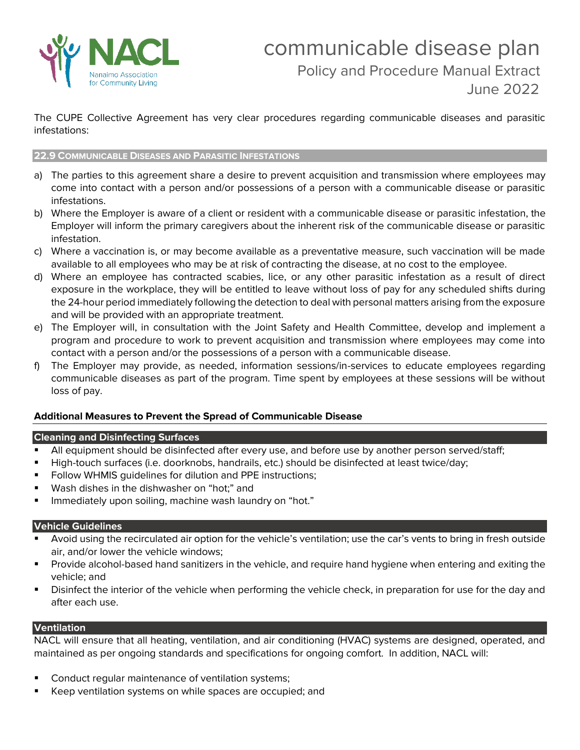

The CUPE Collective Agreement has very clear procedures regarding communicable diseases and parasitic infestations:

#### **22.9 COMMUNICABLE DISEASES AND PARASITIC INFESTATIONS**

- a) The parties to this agreement share a desire to prevent acquisition and transmission where employees may come into contact with a person and/or possessions of a person with a communicable disease or parasitic infestations.
- b) Where the Employer is aware of a client or resident with a communicable disease or parasitic infestation, the Employer will inform the primary caregivers about the inherent risk of the communicable disease or parasitic infestation.
- c) Where a vaccination is, or may become available as a preventative measure, such vaccination will be made available to all employees who may be at risk of contracting the disease, at no cost to the employee.
- d) Where an employee has contracted scabies, lice, or any other parasitic infestation as a result of direct exposure in the workplace, they will be entitled to leave without loss of pay for any scheduled shifts during the 24-hour period immediately following the detection to deal with personal matters arising from the exposure and will be provided with an appropriate treatment.
- e) The Employer will, in consultation with the Joint Safety and Health Committee, develop and implement a program and procedure to work to prevent acquisition and transmission where employees may come into contact with a person and/or the possessions of a person with a communicable disease.
- f) The Employer may provide, as needed, information sessions/in-services to educate employees regarding communicable diseases as part of the program. Time spent by employees at these sessions will be without loss of pay.

### **Additional Measures to Prevent the Spread of Communicable Disease**

### **Cleaning and Disinfecting Surfaces**

- All equipment should be disinfected after every use, and before use by another person served/staff;
- High-touch surfaces (i.e. doorknobs, handrails, etc.) should be disinfected at least twice/day;
- Follow WHMIS quidelines for dilution and PPE instructions;
- Wash dishes in the dishwasher on "hot;" and
- Immediately upon soiling, machine wash laundry on "hot."

### **Vehicle Guidelines**

- Avoid using the recirculated air option for the vehicle's ventilation; use the car's vents to bring in fresh outside air, and/or lower the vehicle windows;
- Provide alcohol-based hand sanitizers in the vehicle, and require hand hygiene when entering and exiting the vehicle; and
- Disinfect the interior of the vehicle when performing the vehicle check, in preparation for use for the day and after each use.

### **Ventilation**

NACL will ensure that all heating, ventilation, and air conditioning (HVAC) systems are designed, operated, and maintained as per ongoing standards and specifications for ongoing comfort. In addition, NACL will:

- Conduct regular maintenance of ventilation systems;
- Keep ventilation systems on while spaces are occupied; and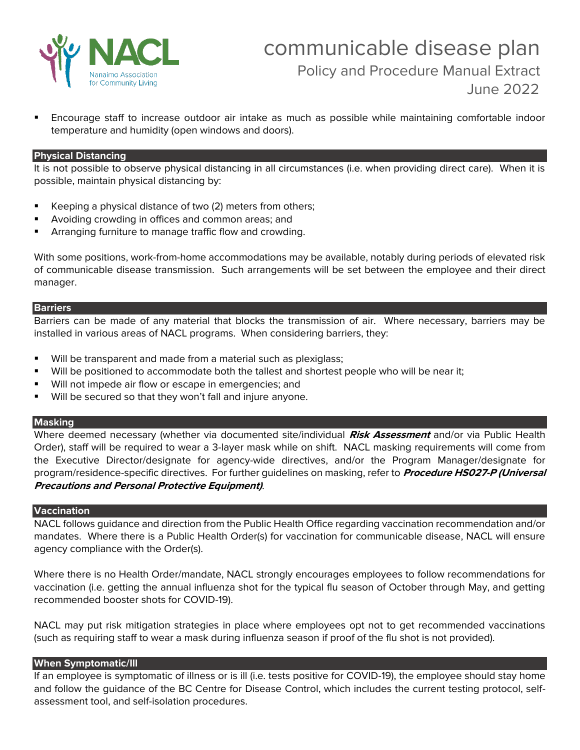

▪ Encourage staff to increase outdoor air intake as much as possible while maintaining comfortable indoor temperature and humidity (open windows and doors).

#### **Physical Distancing**

It is not possible to observe physical distancing in all circumstances (i.e. when providing direct care). When it is possible, maintain physical distancing by:

- Keeping a physical distance of two (2) meters from others;
- Avoiding crowding in offices and common areas; and
- Arranging furniture to manage traffic flow and crowding.

With some positions, work-from-home accommodations may be available, notably during periods of elevated risk of communicable disease transmission. Such arrangements will be set between the employee and their direct manager.

#### **Barriers**

Barriers can be made of any material that blocks the transmission of air. Where necessary, barriers may be installed in various areas of NACL programs. When considering barriers, they:

- Will be transparent and made from a material such as plexiglass;
- Will be positioned to accommodate both the tallest and shortest people who will be near it;
- Will not impede air flow or escape in emergencies; and
- Will be secured so that they won't fall and injure anyone.

#### **Masking**

Where deemed necessary (whether via documented site/individual **Risk Assessment** and/or via Public Health Order), staff will be required to wear a 3-layer mask while on shift. NACL masking requirements will come from the Executive Director/designate for agency-wide directives, and/or the Program Manager/designate for program/residence-specific directives. For further guidelines on masking, refer to **Procedure HS027-P (Universal Precautions and Personal Protective Equipment)**.

## **Vaccination**

NACL follows guidance and direction from the Public Health Office regarding vaccination recommendation and/or mandates. Where there is a Public Health Order(s) for vaccination for communicable disease, NACL will ensure agency compliance with the Order(s).

Where there is no Health Order/mandate, NACL strongly encourages employees to follow recommendations for vaccination (i.e. getting the annual influenza shot for the typical flu season of October through May, and getting recommended booster shots for COVID-19).

NACL may put risk mitigation strategies in place where employees opt not to get recommended vaccinations (such as requiring staff to wear a mask during influenza season if proof of the flu shot is not provided).

#### **When Symptomatic/Ill**

If an employee is symptomatic of illness or is ill (i.e. tests positive for COVID-19), the employee should stay home and follow the guidance of the BC Centre for Disease Control, which includes the current testing protocol, selfassessment tool, and self-isolation procedures.